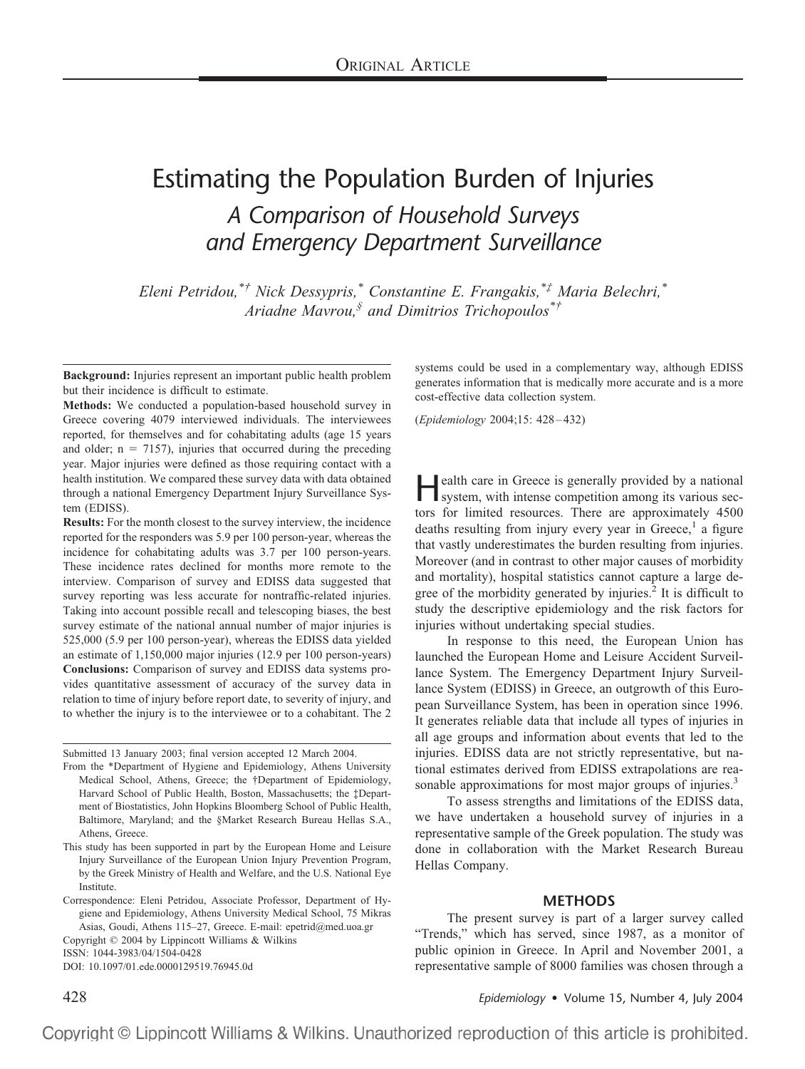# Estimating the Population Burden of Injuries *A Comparison of Household Surveys and Emergency Department Surveillance*

*Eleni Petridou,\*† Nick Dessypris,\* Constantine E. Frangakis,\*‡ Maria Belechri,\* Ariadne Mavrou,§ and Dimitrios Trichopoulos\*†*

**Background:** Injuries represent an important public health problem but their incidence is difficult to estimate.

**Methods:** We conducted a population-based household survey in Greece covering 4079 interviewed individuals. The interviewees reported, for themselves and for cohabitating adults (age 15 years and older;  $n = 7157$ , injuries that occurred during the preceding year. Major injuries were defined as those requiring contact with a health institution. We compared these survey data with data obtained through a national Emergency Department Injury Surveillance System (EDISS).

**Results:** For the month closest to the survey interview, the incidence reported for the responders was 5.9 per 100 person-year, whereas the incidence for cohabitating adults was 3.7 per 100 person-years. These incidence rates declined for months more remote to the interview. Comparison of survey and EDISS data suggested that survey reporting was less accurate for nontraffic-related injuries. Taking into account possible recall and telescoping biases, the best survey estimate of the national annual number of major injuries is 525,000 (5.9 per 100 person-year), whereas the EDISS data yielded an estimate of 1,150,000 major injuries (12.9 per 100 person-years) **Conclusions:** Comparison of survey and EDISS data systems provides quantitative assessment of accuracy of the survey data in relation to time of injury before report date, to severity of injury, and to whether the injury is to the interviewee or to a cohabitant. The 2

Submitted 13 January 2003; final version accepted 12 March 2004.

DOI: 10.1097/01.ede.0000129519.76945.0d

systems could be used in a complementary way, although EDISS generates information that is medically more accurate and is a more cost-effective data collection system.

(*Epidemiology* 2004;15: 428 – 432)

**Health care in Greece is generally provided by a national system, with intense competition among its various sec**tors for limited resources. There are approximately 4500 deaths resulting from injury every year in Greece,<sup>1</sup> a figure that vastly underestimates the burden resulting from injuries. Moreover (and in contrast to other major causes of morbidity and mortality), hospital statistics cannot capture a large degree of the morbidity generated by injuries.<sup>2</sup> It is difficult to study the descriptive epidemiology and the risk factors for injuries without undertaking special studies.

In response to this need, the European Union has launched the European Home and Leisure Accident Surveillance System. The Emergency Department Injury Surveillance System (EDISS) in Greece, an outgrowth of this European Surveillance System, has been in operation since 1996. It generates reliable data that include all types of injuries in all age groups and information about events that led to the injuries. EDISS data are not strictly representative, but national estimates derived from EDISS extrapolations are reasonable approximations for most major groups of injuries.<sup>3</sup>

To assess strengths and limitations of the EDISS data, we have undertaken a household survey of injuries in a representative sample of the Greek population. The study was done in collaboration with the Market Research Bureau Hellas Company.

### **METHODS**

The present survey is part of a larger survey called "Trends," which has served, since 1987, as a monitor of public opinion in Greece. In April and November 2001, a representative sample of 8000 families was chosen through a

428 *Epidemiology* • Volume 15, Number 4, July 2004

From the \*Department of Hygiene and Epidemiology, Athens University Medical School, Athens, Greece; the †Department of Epidemiology, Harvard School of Public Health, Boston, Massachusetts; the ‡Department of Biostatistics, John Hopkins Bloomberg School of Public Health, Baltimore, Maryland; and the §Market Research Bureau Hellas S.A., Athens, Greece.

This study has been supported in part by the European Home and Leisure Injury Surveillance of the European Union Injury Prevention Program, by the Greek Ministry of Health and Welfare, and the U.S. National Eye **Institute** 

Correspondence: Eleni Petridou, Associate Professor, Department of Hygiene and Epidemiology, Athens University Medical School, 75 Mikras Asias, Goudi, Athens 115–27, Greece. E-mail: epetrid@med.uoa.gr

Copyright © 2004 by Lippincott Williams & Wilkins ISSN: 1044-3983/04/1504-0428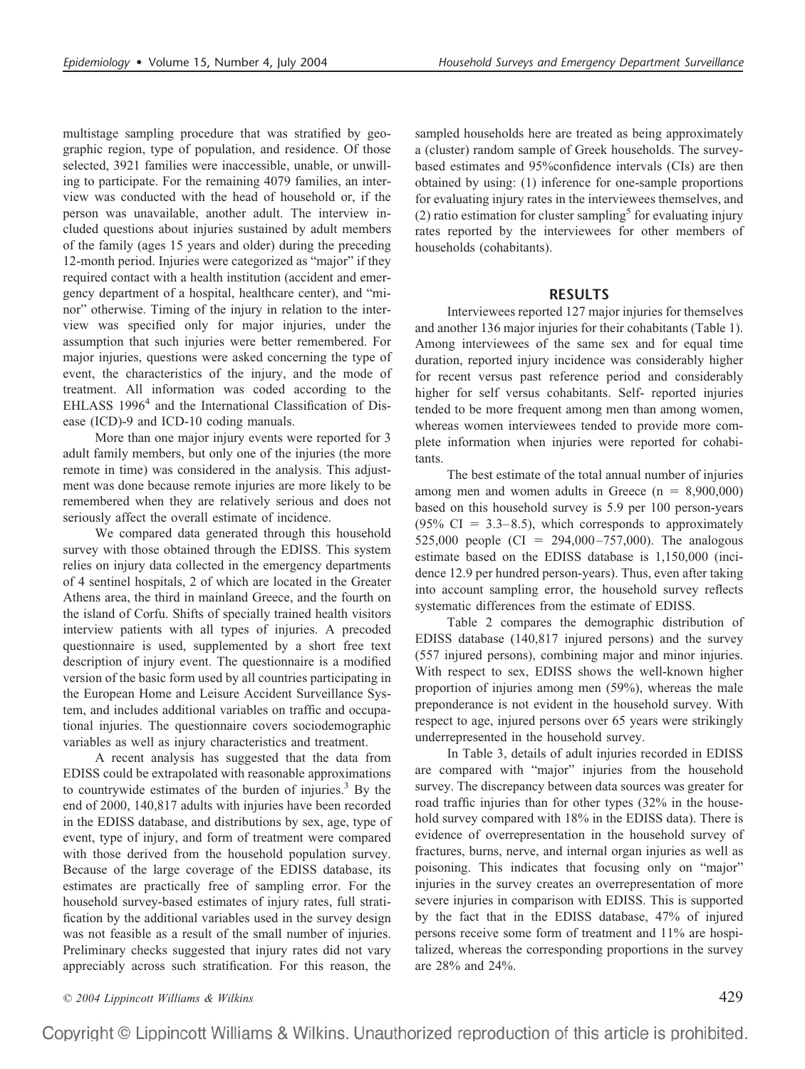multistage sampling procedure that was stratified by geographic region, type of population, and residence. Of those selected, 3921 families were inaccessible, unable, or unwilling to participate. For the remaining 4079 families, an interview was conducted with the head of household or, if the person was unavailable, another adult. The interview included questions about injuries sustained by adult members of the family (ages 15 years and older) during the preceding 12-month period. Injuries were categorized as "major" if they required contact with a health institution (accident and emergency department of a hospital, healthcare center), and "minor" otherwise. Timing of the injury in relation to the interview was specified only for major injuries, under the assumption that such injuries were better remembered. For major injuries, questions were asked concerning the type of event, the characteristics of the injury, and the mode of treatment. All information was coded according to the EHLASS 1996<sup>4</sup> and the International Classification of Disease (ICD)-9 and ICD-10 coding manuals.

More than one major injury events were reported for 3 adult family members, but only one of the injuries (the more remote in time) was considered in the analysis. This adjustment was done because remote injuries are more likely to be remembered when they are relatively serious and does not seriously affect the overall estimate of incidence.

We compared data generated through this household survey with those obtained through the EDISS. This system relies on injury data collected in the emergency departments of 4 sentinel hospitals, 2 of which are located in the Greater Athens area, the third in mainland Greece, and the fourth on the island of Corfu. Shifts of specially trained health visitors interview patients with all types of injuries. A precoded questionnaire is used, supplemented by a short free text description of injury event. The questionnaire is a modified version of the basic form used by all countries participating in the European Home and Leisure Accident Surveillance System, and includes additional variables on traffic and occupational injuries. The questionnaire covers sociodemographic variables as well as injury characteristics and treatment.

A recent analysis has suggested that the data from EDISS could be extrapolated with reasonable approximations to countrywide estimates of the burden of injuries.<sup>3</sup> By the end of 2000, 140,817 adults with injuries have been recorded in the EDISS database, and distributions by sex, age, type of event, type of injury, and form of treatment were compared with those derived from the household population survey. Because of the large coverage of the EDISS database, its estimates are practically free of sampling error. For the household survey-based estimates of injury rates, full stratification by the additional variables used in the survey design was not feasible as a result of the small number of injuries. Preliminary checks suggested that injury rates did not vary appreciably across such stratification. For this reason, the sampled households here are treated as being approximately a (cluster) random sample of Greek households. The surveybased estimates and 95%confidence intervals (CIs) are then obtained by using: (1) inference for one-sample proportions for evaluating injury rates in the interviewees themselves, and (2) ratio estimation for cluster sampling<sup>5</sup> for evaluating injury rates reported by the interviewees for other members of households (cohabitants).

### **RESULTS**

Interviewees reported 127 major injuries for themselves and another 136 major injuries for their cohabitants (Table 1). Among interviewees of the same sex and for equal time duration, reported injury incidence was considerably higher for recent versus past reference period and considerably higher for self versus cohabitants. Self- reported injuries tended to be more frequent among men than among women, whereas women interviewees tended to provide more complete information when injuries were reported for cohabitants.

The best estimate of the total annual number of injuries among men and women adults in Greece  $(n = 8,900,000)$ based on this household survey is 5.9 per 100 person-years  $(95\% \text{ CI} = 3.3-8.5)$ , which corresponds to approximately 525,000 people (CI = 294,000–757,000). The analogous estimate based on the EDISS database is 1,150,000 (incidence 12.9 per hundred person-years). Thus, even after taking into account sampling error, the household survey reflects systematic differences from the estimate of EDISS.

Table 2 compares the demographic distribution of EDISS database (140,817 injured persons) and the survey (557 injured persons), combining major and minor injuries. With respect to sex, EDISS shows the well-known higher proportion of injuries among men (59%), whereas the male preponderance is not evident in the household survey. With respect to age, injured persons over 65 years were strikingly underrepresented in the household survey.

In Table 3, details of adult injuries recorded in EDISS are compared with "major" injuries from the household survey. The discrepancy between data sources was greater for road traffic injuries than for other types (32% in the household survey compared with 18% in the EDISS data). There is evidence of overrepresentation in the household survey of fractures, burns, nerve, and internal organ injuries as well as poisoning. This indicates that focusing only on "major" injuries in the survey creates an overrepresentation of more severe injuries in comparison with EDISS. This is supported by the fact that in the EDISS database, 47% of injured persons receive some form of treatment and 11% are hospitalized, whereas the corresponding proportions in the survey are 28% and 24%.

*© 2004 Lippincott Williams & Wilkins* 429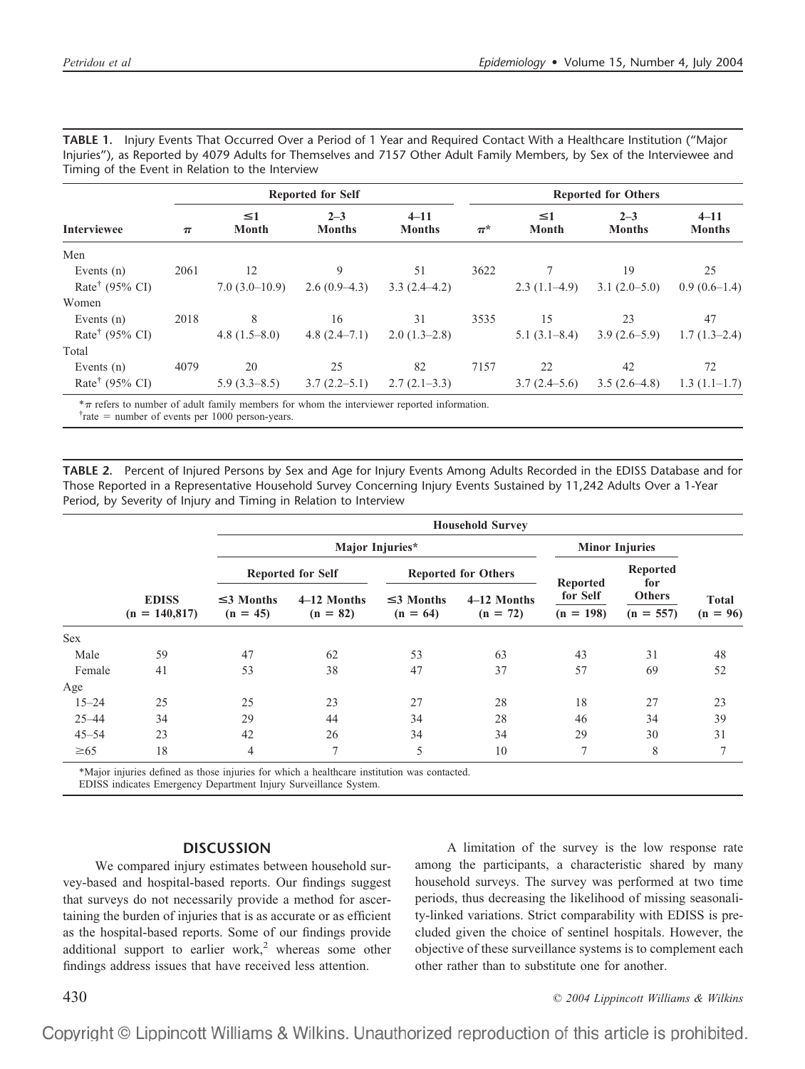| TABLE 1. Injury Events That Occurred Over a Period of 1 Year and Required Contact With a Healthcare Institution ("Major  |
|--------------------------------------------------------------------------------------------------------------------------|
| Injuries"), as Reported by 4079 Adults for Themselves and 7157 Other Adult Family Members, by Sex of the Interviewee and |
| Timing of the Event in Relation to the Interview                                                                         |

|                            | <b>Reported for Self</b> |                          |                          |                           |         | <b>Reported for Others</b> |                          |                           |  |  |
|----------------------------|--------------------------|--------------------------|--------------------------|---------------------------|---------|----------------------------|--------------------------|---------------------------|--|--|
| <b>Interviewee</b>         | $\pi$                    | $\leq 1$<br><b>Month</b> | $2 - 3$<br><b>Months</b> | $4 - 11$<br><b>Months</b> | $\pi^*$ | $\leq$ 1<br>Month          | $2 - 3$<br><b>Months</b> | $4 - 11$<br><b>Months</b> |  |  |
| Men                        |                          |                          |                          |                           |         |                            |                          |                           |  |  |
| Events $(n)$               | 2061                     | 12                       | 9                        | 51                        | 3622    |                            | 19                       | 25                        |  |  |
| Rate <sup>†</sup> (95% CI) |                          | $7.0(3.0-10.9)$          | $2.6(0.9-4.3)$           | $3.3(2.4-4.2)$            |         | $2.3(1.1-4.9)$             | $3.1(2.0-5.0)$           | $0.9(0.6-1.4)$            |  |  |
| Women                      |                          |                          |                          |                           |         |                            |                          |                           |  |  |
| Events $(n)$               | 2018                     | 8                        | 16                       | 31                        | 3535    | 15                         | 23                       | 47                        |  |  |
| Rate <sup>†</sup> (95% CI) |                          | $4.8(1.5-8.0)$           | $4.8(2.4-7.1)$           | $2.0(1.3-2.8)$            |         | $5.1(3.1-8.4)$             | $3.9(2.6-5.9)$           | $1.7(1.3-2.4)$            |  |  |
| Total                      |                          |                          |                          |                           |         |                            |                          |                           |  |  |
| Events $(n)$               | 4079                     | 20                       | 25                       | 82                        | 7157    | 22                         | 42                       | 72                        |  |  |
| Rate <sup>†</sup> (95% CI) |                          | $5.9(3.3-8.5)$           | $3.7(2.2-5.1)$           | $2.7(2.1-3.3)$            |         | $3.7(2.4-5.6)$             | $3.5(2.6-4.8)$           | $1.3(1.1-1.7)$            |  |  |

 $*\pi$  refers to number of adult family members for whom the interviewer reported information.

 $\tau$  rate = number of events per 1000 person-years.

**TABLE 2.** Percent of Injured Persons by Sex and Age for Injury Events Among Adults Recorded in the EDISS Database and for Those Reported in a Representative Household Survey Concerning Injury Events Sustained by 11,242 Adults Over a 1-Year Period, by Severity of Injury and Timing in Relation to Interview

|                                 | <b>Household Survey</b>       |                           |                               |                           |                         |                       |                            |  |  |  |
|---------------------------------|-------------------------------|---------------------------|-------------------------------|---------------------------|-------------------------|-----------------------|----------------------------|--|--|--|
| <b>EDISS</b><br>$(n = 140,817)$ |                               |                           | <b>Minor Injuries</b>         |                           |                         |                       |                            |  |  |  |
|                                 | <b>Reported for Self</b>      |                           | <b>Reported for Others</b>    |                           |                         | Reported              |                            |  |  |  |
|                                 | $\leq$ 3 Months<br>$(n = 45)$ | 4-12 Months<br>$(n = 82)$ | $\leq$ 3 Months<br>$(n = 64)$ | 4-12 Months<br>$(n = 72)$ | for Self<br>$(n = 198)$ | Others<br>$(n = 557)$ | <b>Total</b><br>$(n = 96)$ |  |  |  |
|                                 |                               |                           |                               |                           |                         |                       |                            |  |  |  |
| 59                              | 47                            | 62                        | 53                            | 63                        | 43                      | 31                    | 48                         |  |  |  |
| 41                              | 53                            | 38                        | 47                            | 37                        | 57                      | 69                    | 52                         |  |  |  |
|                                 |                               |                           |                               |                           |                         |                       |                            |  |  |  |
| 25                              | 25                            | 23                        | 27                            | 28                        | 18                      | 27                    | 23                         |  |  |  |
| 34                              | 29                            | 44                        | 34                            | 28                        | 46                      | 34                    | 39                         |  |  |  |
| 23                              | 42                            | 26                        | 34                            | 34                        | 29                      | 30                    | 31                         |  |  |  |
| 18                              | 4                             | 7                         | 5                             | 10                        | 7                       | 8                     | 7                          |  |  |  |
|                                 |                               |                           |                               | Major Injuries*           |                         | <b>Reported</b>       | for                        |  |  |  |

\*Major injuries defined as those injuries for which a healthcare institution was contacted.

EDISS indicates Emergency Department Injury Surveillance System.

## **DISCUSSION**

We compared injury estimates between household survey-based and hospital-based reports. Our findings suggest that surveys do not necessarily provide a method for ascertaining the burden of injuries that is as accurate or as efficient as the hospital-based reports. Some of our findings provide additional support to earlier work,<sup>2</sup> whereas some other findings address issues that have received less attention.

A limitation of the survey is the low response rate among the participants, a characteristic shared by many household surveys. The survey was performed at two time periods, thus decreasing the likelihood of missing seasonality-linked variations. Strict comparability with EDISS is precluded given the choice of sentinel hospitals. However, the objective of these surveillance systems is to complement each other rather than to substitute one for another.

430 *© 2004 Lippincott Williams & Wilkins*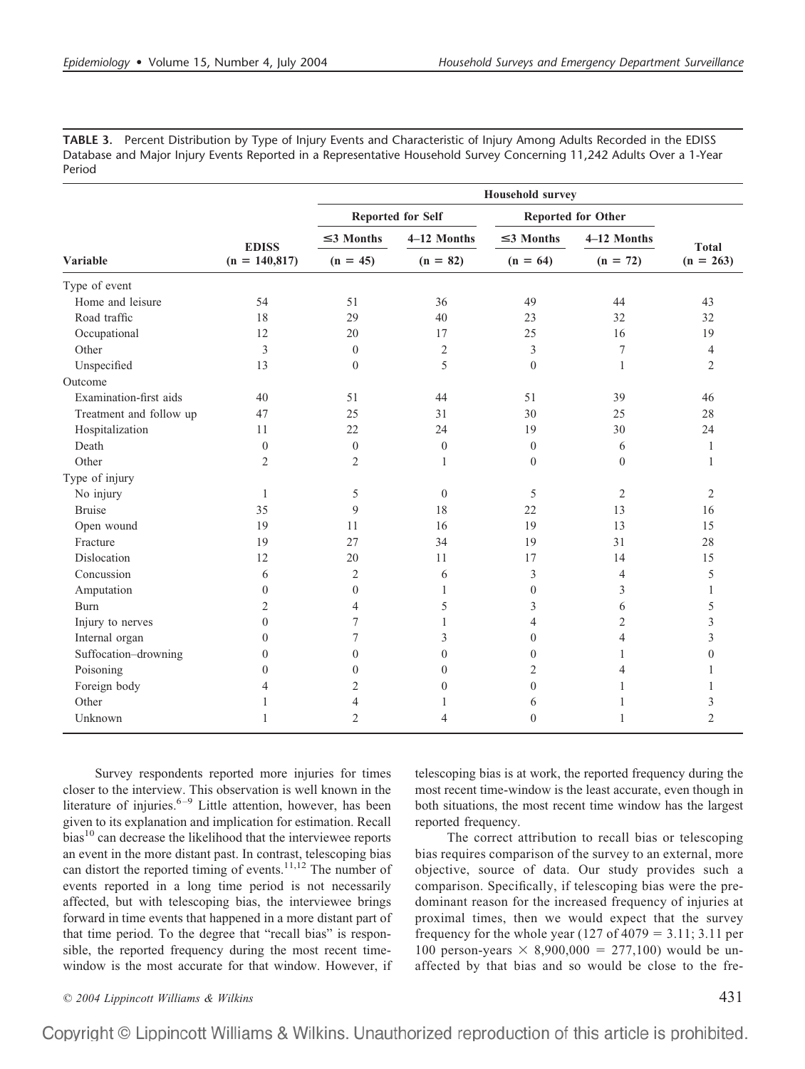**TABLE 3.** Percent Distribution by Type of Injury Events and Characteristic of Injury Among Adults Recorded in the EDISS Database and Major Injury Events Reported in a Representative Household Survey Concerning 11,242 Adults Over a 1-Year Period

|                         |                                 | <b>Household survey</b> |                           |                           |                |                             |  |  |  |
|-------------------------|---------------------------------|-------------------------|---------------------------|---------------------------|----------------|-----------------------------|--|--|--|
|                         | <b>EDISS</b><br>$(n = 140,817)$ |                         | <b>Reported for Self</b>  | <b>Reported for Other</b> |                |                             |  |  |  |
|                         |                                 | $\leq$ 3 Months         | 4-12 Months<br>$(n = 82)$ | $\leq$ 3 Months           | 4-12 Months    | <b>Total</b><br>$(n = 263)$ |  |  |  |
| <b>Variable</b>         |                                 | $(n = 45)$              |                           | $(n = 64)$                | $(n = 72)$     |                             |  |  |  |
| Type of event           |                                 |                         |                           |                           |                |                             |  |  |  |
| Home and leisure        | 54                              | 51                      | 36                        | 49                        | 44             | 43                          |  |  |  |
| Road traffic            | 18                              | 29                      | 40                        | 23                        | 32             | 32                          |  |  |  |
| Occupational            | 12                              | 20                      | 17                        | 25                        | 16             | 19                          |  |  |  |
| Other                   | 3                               | $\mathbf{0}$            | $\overline{2}$            | 3                         | 7              | $\overline{4}$              |  |  |  |
| Unspecified             | 13                              | $\mathbf{0}$            | 5                         | $\theta$                  | $\mathbf{1}$   | $\overline{2}$              |  |  |  |
| Outcome                 |                                 |                         |                           |                           |                |                             |  |  |  |
| Examination-first aids  | 40                              | 51                      | 44                        | 51                        | 39             | 46                          |  |  |  |
| Treatment and follow up | 47                              | 25                      | 31                        | 30                        | 25             | 28                          |  |  |  |
| Hospitalization         | 11                              | 22                      | 24                        | 19                        | 30             | 24                          |  |  |  |
| Death                   | $\boldsymbol{0}$                | $\boldsymbol{0}$        | $\boldsymbol{0}$          | $\mathbf{0}$              | 6              | 1                           |  |  |  |
| Other                   | $\overline{2}$                  | 2                       | 1                         | $\mathbf{0}$              | $\mathbf{0}$   | 1                           |  |  |  |
| Type of injury          |                                 |                         |                           |                           |                |                             |  |  |  |
| No injury               | $\mathbf{1}$                    | 5                       | $\boldsymbol{0}$          | 5                         | $\overline{2}$ | $\overline{2}$              |  |  |  |
| <b>Bruise</b>           | 35                              | 9                       | 18                        | 22                        | 13             | 16                          |  |  |  |
| Open wound              | 19                              | 11                      | 16                        | 19                        | 13             | 15                          |  |  |  |
| Fracture                | 19                              | 27                      | 34                        | 19                        | 31             | 28                          |  |  |  |
| Dislocation             | 12                              | 20                      | 11                        | 17                        | 14             | 15                          |  |  |  |
| Concussion              | 6                               | 2                       | 6                         | 3                         | $\overline{4}$ | 5                           |  |  |  |
| Amputation              | $\boldsymbol{0}$                | $\boldsymbol{0}$        | $\mathbf{1}$              | $\boldsymbol{0}$          | 3              | 1                           |  |  |  |
| Burn                    | 2                               | 4                       | 5                         | 3                         | 6              | 5                           |  |  |  |
| Injury to nerves        | $\overline{0}$                  | 7                       | $\mathbf{1}$              | 4                         | 2              | 3                           |  |  |  |
| Internal organ          | $\overline{0}$                  | 7                       | 3                         | $\overline{0}$            | $\overline{4}$ | 3                           |  |  |  |
| Suffocation-drowning    | $\boldsymbol{0}$                | $\boldsymbol{0}$        | $\boldsymbol{0}$          | $\overline{0}$            | 1              | $\overline{0}$              |  |  |  |
| Poisoning               | $\overline{0}$                  | $\overline{0}$          | $\mathbf{0}$              | $\overline{2}$            | $\overline{4}$ |                             |  |  |  |
| Foreign body            | 4                               | 2                       | $\mathbf{0}$              | $\overline{0}$            | 1              |                             |  |  |  |
| Other                   | 1                               | 4                       | 1                         | 6                         | 1              | 3                           |  |  |  |
| Unknown                 | 1                               | $\overline{2}$          | 4                         | $\overline{0}$            | $\mathbf{1}$   | $\overline{2}$              |  |  |  |

Survey respondents reported more injuries for times closer to the interview. This observation is well known in the literature of injuries. $6-9$  Little attention, however, has been given to its explanation and implication for estimation. Recall  $bias<sup>10</sup>$  can decrease the likelihood that the interviewee reports an event in the more distant past. In contrast, telescoping bias can distort the reported timing of events.<sup>11,12</sup> The number of events reported in a long time period is not necessarily affected, but with telescoping bias, the interviewee brings forward in time events that happened in a more distant part of that time period. To the degree that "recall bias" is responsible, the reported frequency during the most recent timewindow is the most accurate for that window. However, if

telescoping bias is at work, the reported frequency during the most recent time-window is the least accurate, even though in both situations, the most recent time window has the largest reported frequency.

The correct attribution to recall bias or telescoping bias requires comparison of the survey to an external, more objective, source of data. Our study provides such a comparison. Specifically, if telescoping bias were the predominant reason for the increased frequency of injuries at proximal times, then we would expect that the survey frequency for the whole year  $(127 \text{ of } 4079 = 3.11; 3.11 \text{ per})$ 100 person-years  $\times$  8,900,000 = 277,100) would be unaffected by that bias and so would be close to the fre-

*© 2004 Lippincott Williams & Wilkins* 431